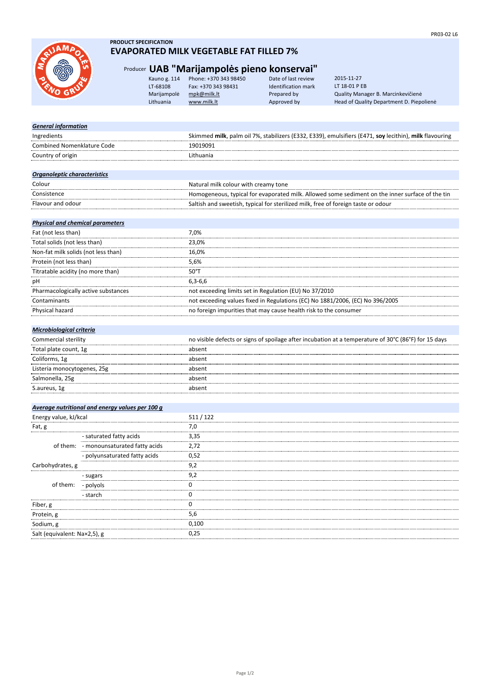

Salt (equivalent: Na×2,5), g 0,25

# **PRODUCT SPECIFICATION EVAPORATED MILK VEGETABLE FAT FILLED 7%**

# Producer **UAB "Marijampolės pieno konservai"**

| Kauno g. 114 | Phone: +370 343 98450 | Date of las  |
|--------------|-----------------------|--------------|
| LT-68108     | Fax: +370 343 98431   | Identificati |
| Marijampolė  | mpk@milk.lt           | Prepared b   |
| Lithuania    | www.milk.lt           | Approved I   |

kt review ion mark

by Cuality Manager B. Marcinkevičienė<br>by Bead of Quality Department D. Piepo Head of Quality Department D. Piepolienė 2015-11-27 LT 18-01 P EB

| <b>General information</b>              |                                                 |                                                                                                        |
|-----------------------------------------|-------------------------------------------------|--------------------------------------------------------------------------------------------------------|
| Ingredients                             |                                                 | Skimmed milk, palm oil 7%, stabilizers (E332, E339), emulsifiers (E471, soy lecithin), milk flavouring |
| <b>Combined Nomenklature Code</b>       |                                                 | 19019091                                                                                               |
| Country of origin                       |                                                 | Lithuania                                                                                              |
|                                         |                                                 |                                                                                                        |
| Organoleptic characteristics            |                                                 |                                                                                                        |
| Colour                                  |                                                 | Natural milk colour with creamy tone                                                                   |
| Consistence                             |                                                 | Homogeneous, typical for evaporated milk. Allowed some sediment on the inner surface of the tin        |
| Flavour and odour                       |                                                 | Saltish and sweetish, typical for sterilized milk, free of foreign taste or odour                      |
|                                         |                                                 |                                                                                                        |
| <b>Physical and chemical parameters</b> |                                                 |                                                                                                        |
| Fat (not less than)                     |                                                 | 7,0%                                                                                                   |
| Total solids (not less than)            |                                                 | 23,0%                                                                                                  |
| Non-fat milk solids (not less than)     |                                                 | 16,0%                                                                                                  |
| Protein (not less than)                 |                                                 | 5,6%                                                                                                   |
| Titratable acidity (no more than)       |                                                 | $50^{\circ}$ T                                                                                         |
| рH                                      |                                                 | $6,3-6,6$                                                                                              |
|                                         | Pharmacologically active substances             | not exceeding limits set in Regulation (EU) No 37/2010                                                 |
| Contaminants                            |                                                 | not exceeding values fixed in Regulations (EC) No 1881/2006, (EC) No 396/2005                          |
| Physical hazard                         |                                                 | no foreign impurities that may cause health risk to the consumer                                       |
|                                         |                                                 |                                                                                                        |
| Microbiological criteria                |                                                 |                                                                                                        |
| Commercial sterility                    |                                                 | no visible defects or signs of spoilage after incubation at a temperature of 30°C (86°F) for 15 days   |
| Total plate count, 1g                   |                                                 | absent                                                                                                 |
| Coliforms, 1g                           |                                                 | absent                                                                                                 |
| Listeria monocytogenes, 25g             |                                                 | absent                                                                                                 |
| Salmonella, 25g                         |                                                 | absent                                                                                                 |
| S.aureus, 1g                            |                                                 | absent                                                                                                 |
|                                         |                                                 |                                                                                                        |
|                                         | Average nutritional and energy values per 100 g |                                                                                                        |
| Energy value, kJ/kcal                   |                                                 | 511/122                                                                                                |
| Fat, g                                  |                                                 | 7,0                                                                                                    |
|                                         | - saturated fatty acids                         | 3,35                                                                                                   |
|                                         | of them: - monounsaturated fatty acids          | 2,72                                                                                                   |
|                                         | - polyunsaturated fatty acids                   | 0,52                                                                                                   |
| Carbohydrates, g                        |                                                 | 9,2                                                                                                    |
|                                         | - sugars                                        | 9,2                                                                                                    |
| of them:                                | - polyols                                       | 0                                                                                                      |
|                                         | - starch                                        | 0                                                                                                      |
| Fiber, g                                |                                                 | 0                                                                                                      |
| Protein, g                              |                                                 | 5,6                                                                                                    |
| Sodium, g                               |                                                 | 0,100                                                                                                  |